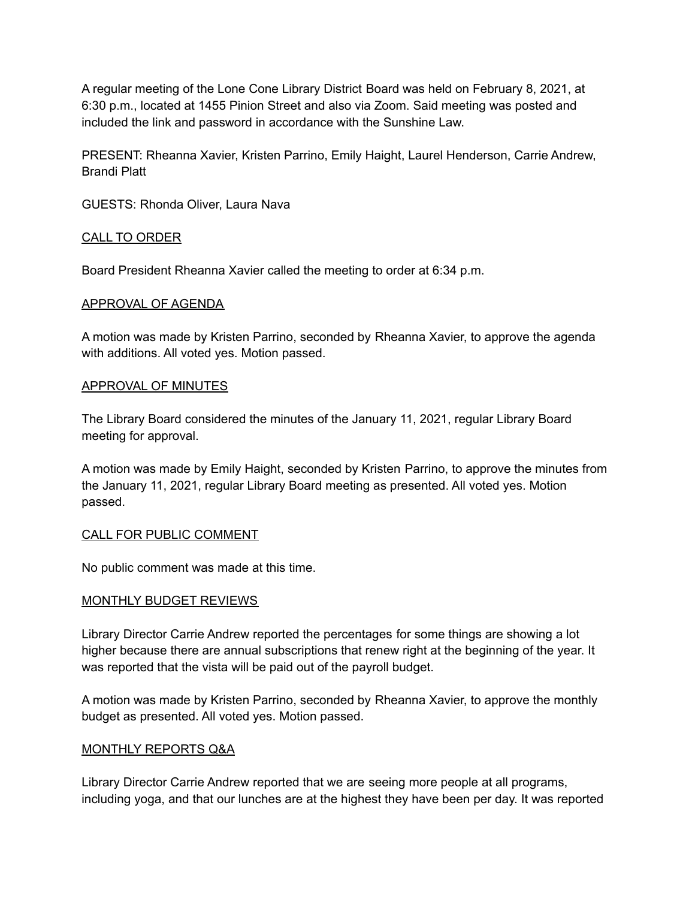A regular meeting of the Lone Cone Library District Board was held on February 8, 2021, at 6:30 p.m., located at 1455 Pinion Street and also via Zoom. Said meeting was posted and included the link and password in accordance with the Sunshine Law.

PRESENT: Rheanna Xavier, Kristen Parrino, Emily Haight, Laurel Henderson, Carrie Andrew, Brandi Platt

GUESTS: Rhonda Oliver, Laura Nava

# CALL TO ORDER

Board President Rheanna Xavier called the meeting to order at 6:34 p.m.

# APPROVAL OF AGENDA

A motion was made by Kristen Parrino, seconded by Rheanna Xavier, to approve the agenda with additions. All voted yes. Motion passed.

# APPROVAL OF MINUTES

The Library Board considered the minutes of the January 11, 2021, regular Library Board meeting for approval.

A motion was made by Emily Haight, seconded by Kristen Parrino, to approve the minutes from the January 11, 2021, regular Library Board meeting as presented. All voted yes. Motion passed.

# CALL FOR PUBLIC COMMENT

No public comment was made at this time.

## MONTHLY BUDGET REVIEWS

Library Director Carrie Andrew reported the percentages for some things are showing a lot higher because there are annual subscriptions that renew right at the beginning of the year. It was reported that the vista will be paid out of the payroll budget.

A motion was made by Kristen Parrino, seconded by Rheanna Xavier, to approve the monthly budget as presented. All voted yes. Motion passed.

## MONTHLY REPORTS Q&A

Library Director Carrie Andrew reported that we are seeing more people at all programs, including yoga, and that our lunches are at the highest they have been per day. It was reported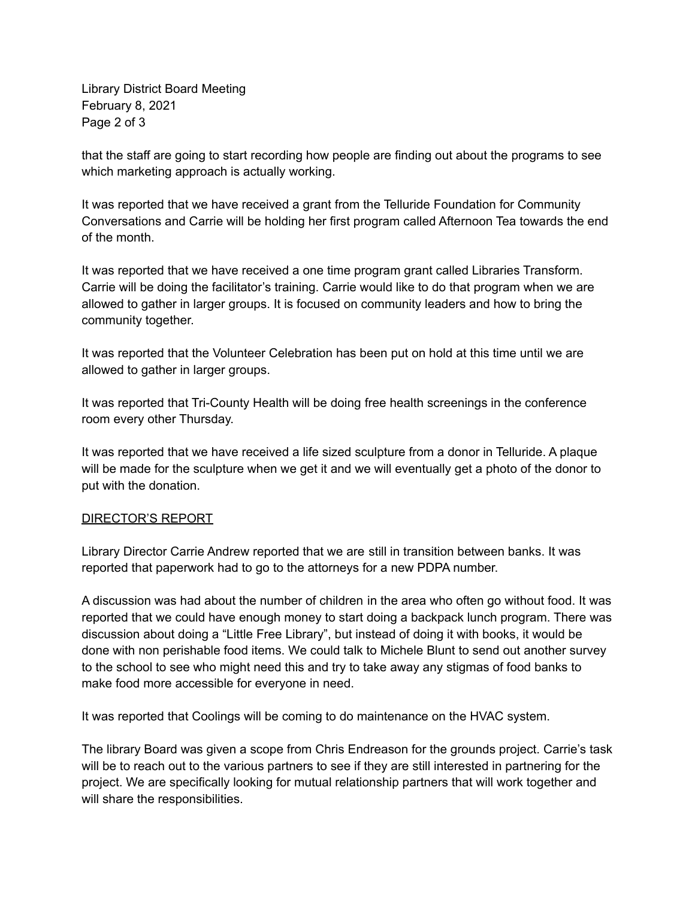Library District Board Meeting February 8, 2021 Page 2 of 3

that the staff are going to start recording how people are finding out about the programs to see which marketing approach is actually working.

It was reported that we have received a grant from the Telluride Foundation for Community Conversations and Carrie will be holding her first program called Afternoon Tea towards the end of the month.

It was reported that we have received a one time program grant called Libraries Transform. Carrie will be doing the facilitator's training. Carrie would like to do that program when we are allowed to gather in larger groups. It is focused on community leaders and how to bring the community together.

It was reported that the Volunteer Celebration has been put on hold at this time until we are allowed to gather in larger groups.

It was reported that Tri-County Health will be doing free health screenings in the conference room every other Thursday.

It was reported that we have received a life sized sculpture from a donor in Telluride. A plaque will be made for the sculpture when we get it and we will eventually get a photo of the donor to put with the donation.

# DIRECTOR'S REPORT

Library Director Carrie Andrew reported that we are still in transition between banks. It was reported that paperwork had to go to the attorneys for a new PDPA number.

A discussion was had about the number of children in the area who often go without food. It was reported that we could have enough money to start doing a backpack lunch program. There was discussion about doing a "Little Free Library", but instead of doing it with books, it would be done with non perishable food items. We could talk to Michele Blunt to send out another survey to the school to see who might need this and try to take away any stigmas of food banks to make food more accessible for everyone in need.

It was reported that Coolings will be coming to do maintenance on the HVAC system.

The library Board was given a scope from Chris Endreason for the grounds project. Carrie's task will be to reach out to the various partners to see if they are still interested in partnering for the project. We are specifically looking for mutual relationship partners that will work together and will share the responsibilities.